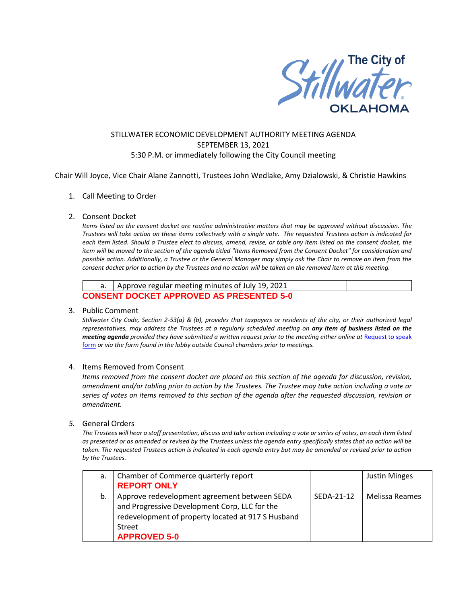

## STILLWATER ECONOMIC DEVELOPMENT AUTHORITY MEETING AGENDA SEPTEMBER 13, 2021 5:30 P.M. or immediately following the City Council meeting

Chair Will Joyce, Vice Chair Alane Zannotti, Trustees John Wedlake, Amy Dzialowski, & Christie Hawkins

#### 1. Call Meeting to Order

#### 2. Consent Docket

*Items listed on the consent docket are routine administrative matters that may be approved without discussion. The Trustees will take action on these items collectively with a single vote. The requested Trustees action is indicated for each item listed. Should a Trustee elect to discuss, amend, revise, or table any item listed on the consent docket, the item will be moved to the section of the agenda titled "Items Removed from the Consent Docket" for consideration and possible action. Additionally, a Trustee or the General Manager may simply ask the Chair to remove an item from the consent docket prior to action by the Trustees and no action will be taken on the removed item at this meeting.*

|                                                 | a.   Approve regular meeting minutes of July 19, 2021 |  |  |  |
|-------------------------------------------------|-------------------------------------------------------|--|--|--|
| <b>CONSENT DOCKET APPROVED AS PRESENTED 5-0</b> |                                                       |  |  |  |

3. Public Comment

*Stillwater City Code, Section 2-53(a) & (b), provides that taxpayers or residents of the city, or their authorized legal representatives, may address the Trustees at a regularly scheduled meeting on any item of business listed on the meeting agenda provided they have submitted a written request prior to the meeting either online at Request to speak* [form](http://stillwater.org/page/home/government/mayor-city-council/meetings-agendas-minutes/online-request-to-speak-at-city-council) *or via the form found in the lobby outside Council chambers prior to meetings.*

### 4. Items Removed from Consent

*Items removed from the consent docket are placed on this section of the agenda for discussion, revision, amendment and/or tabling prior to action by the Trustees. The Trustee may take action including a vote or series of votes on items removed to this section of the agenda after the requested discussion, revision or amendment.*

### *5.* General Orders

*The Trustees will hear a staff presentation, discuss and take action including a vote or series of votes, on each item listed as presented or as amended or revised by the Trustees unless the agenda entry specifically states that no action will be taken. The requested Trustees action is indicated in each agenda entry but may be amended or revised prior to action by the Trustees.* 

| a. | Chamber of Commerce quarterly report               |            | <b>Justin Minges</b> |
|----|----------------------------------------------------|------------|----------------------|
|    | <b>REPORT ONLY</b>                                 |            |                      |
| b. | Approve redevelopment agreement between SEDA       | SEDA-21-12 | Melissa Reames       |
|    | and Progressive Development Corp, LLC for the      |            |                      |
|    | redevelopment of property located at 917 S Husband |            |                      |
|    | Street                                             |            |                      |
|    | <b>APPROVED 5-0</b>                                |            |                      |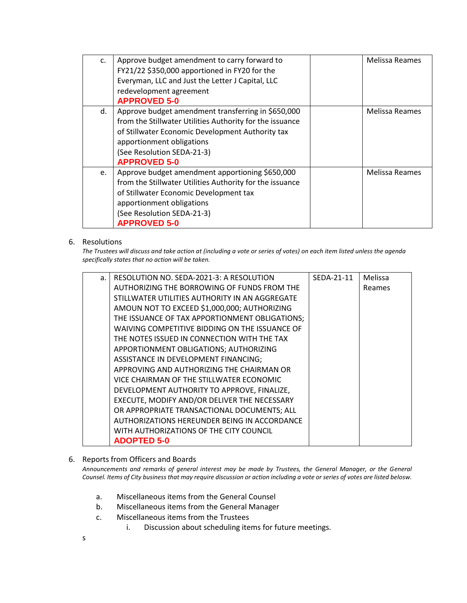| c. | Approve budget amendment to carry forward to<br>FY21/22 \$350,000 apportioned in FY20 for the<br>Everyman, LLC and Just the Letter J Capital, LLC<br>redevelopment agreement<br><b>APPROVED 5-0</b>                                                  | Melissa Reames |
|----|------------------------------------------------------------------------------------------------------------------------------------------------------------------------------------------------------------------------------------------------------|----------------|
| d. | Approve budget amendment transferring in \$650,000<br>from the Stillwater Utilities Authority for the issuance<br>of Stillwater Economic Development Authority tax<br>apportionment obligations<br>(See Resolution SEDA-21-3)<br><b>APPROVED 5-0</b> | Melissa Reames |
| e. | Approve budget amendment apportioning \$650,000<br>from the Stillwater Utilities Authority for the issuance<br>of Stillwater Economic Development tax<br>apportionment obligations<br>(See Resolution SEDA-21-3)<br><b>APPROVED 5-0</b>              | Melissa Reames |

## 6. Resolutions

*The Trustees will discuss and take action at (including a vote or series of votes) on each item listed unless the agenda specifically states that no action will be taken.*

| a. | RESOLUTION NO. SEDA-2021-3: A RESOLUTION       | SEDA-21-11 | Melissa |
|----|------------------------------------------------|------------|---------|
|    | AUTHORIZING THE BORROWING OF FUNDS FROM THE    |            | Reames  |
|    | STILLWATER UTILITIES AUTHORITY IN AN AGGREGATE |            |         |
|    | AMOUN NOT TO EXCEED \$1,000,000; AUTHORIZING   |            |         |
|    | THE ISSUANCE OF TAX APPORTIONMENT OBLIGATIONS; |            |         |
|    | WAIVING COMPETITIVE BIDDING ON THE ISSUANCE OF |            |         |
|    | THE NOTES ISSUED IN CONNECTION WITH THE TAX    |            |         |
|    | APPORTIONMENT OBLIGATIONS; AUTHORIZING         |            |         |
|    | ASSISTANCE IN DEVELOPMENT FINANCING;           |            |         |
|    | APPROVING AND AUTHORIZING THE CHAIRMAN OR      |            |         |
|    | VICE CHAIRMAN OF THE STILLWATER ECONOMIC       |            |         |
|    | DEVELOPMENT AUTHORITY TO APPROVE, FINALIZE,    |            |         |
|    | EXECUTE, MODIFY AND/OR DELIVER THE NECESSARY   |            |         |
|    | OR APPROPRIATE TRANSACTIONAL DOCUMENTS; ALL    |            |         |
|    | AUTHORIZATIONS HEREUNDER BEING IN ACCORDANCE   |            |         |
|    | WITH AUTHORIZATIONS OF THE CITY COUNCIL        |            |         |
|    | <b>ADOPTED 5-0</b>                             |            |         |

## 6. Reports from Officers and Boards

*Announcements and remarks of general interest may be made by Trustees, the General Manager, or the General Counsel. Items of City business that may require discussion or action including a vote or series of votes are listed belosw.*

- a. Miscellaneous items from the General Counsel
- b. Miscellaneous items from the General Manager
- c. Miscellaneous items from the Trustees
	- i. Discussion about scheduling items for future meetings.